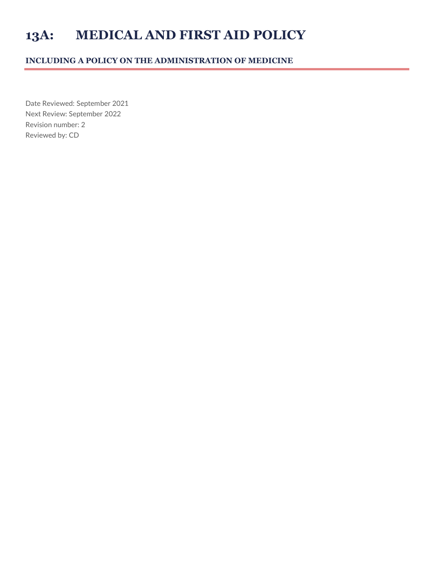## **13A: MEDICAL AND FIRST AID POLICY**

## **INCLUDING A POLICY ON THE ADMINISTRATION OF MEDICINE**

Date Reviewed: September 2021 Next Review: September 2022 Revision number: 2 Reviewed by: CD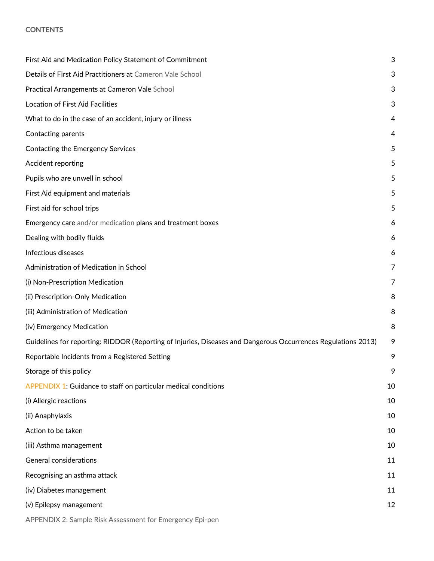#### **CONTENTS**

| First Aid and Medication Policy Statement of Commitment                                                       | 3  |
|---------------------------------------------------------------------------------------------------------------|----|
| Details of First Aid Practitioners at Cameron Vale School                                                     | 3  |
| Practical Arrangements at Cameron Vale School                                                                 | 3  |
| <b>Location of First Aid Facilities</b>                                                                       | 3  |
| What to do in the case of an accident, injury or illness                                                      | 4  |
| Contacting parents                                                                                            | 4  |
| <b>Contacting the Emergency Services</b>                                                                      | 5  |
| Accident reporting                                                                                            | 5  |
| Pupils who are unwell in school                                                                               | 5  |
| First Aid equipment and materials                                                                             | 5  |
| First aid for school trips                                                                                    | 5  |
| Emergency care and/or medication plans and treatment boxes                                                    | 6  |
| Dealing with bodily fluids                                                                                    | 6  |
| Infectious diseases                                                                                           | 6  |
| Administration of Medication in School                                                                        | 7  |
| (i) Non-Prescription Medication                                                                               | 7  |
| (ii) Prescription-Only Medication                                                                             | 8  |
| (iii) Administration of Medication                                                                            | 8  |
| (iv) Emergency Medication                                                                                     | 8  |
| Guidelines for reporting: RIDDOR (Reporting of Injuries, Diseases and Dangerous Occurrences Regulations 2013) | 9  |
| Reportable Incidents from a Registered Setting                                                                | 9  |
| Storage of this policy                                                                                        | 9  |
| APPENDIX 1: Guidance to staff on particular medical conditions                                                | 10 |
| (i) Allergic reactions                                                                                        | 10 |
| (ii) Anaphylaxis                                                                                              | 10 |
| Action to be taken                                                                                            | 10 |
| (iii) Asthma management                                                                                       | 10 |
| <b>General considerations</b>                                                                                 | 11 |
| Recognising an asthma attack                                                                                  | 11 |
| (iv) Diabetes management                                                                                      | 11 |
| (v) Epilepsy management                                                                                       | 12 |
| APPENDIX 2: Sample Risk Assessment for Emergency Epi-pen                                                      |    |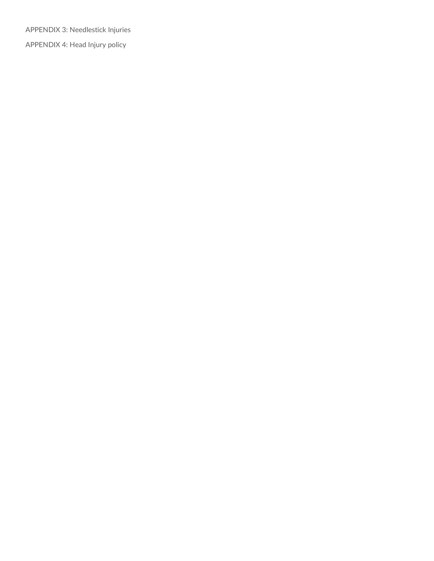APPENDIX 3: Needlestick Injuries APPENDIX 4: Head Injury policy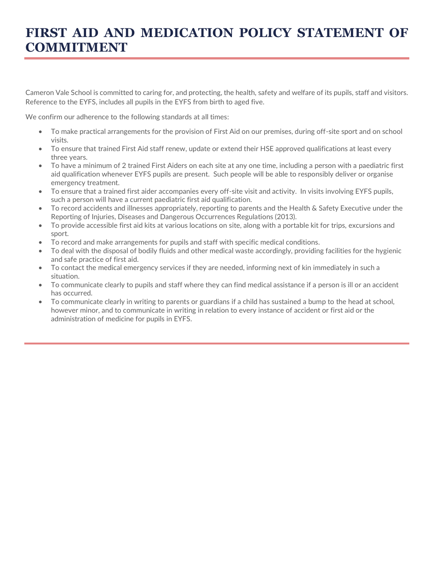## **FIRST AID AND MEDICATION POLICY STATEMENT OF COMMITMENT**

Cameron Vale School is committed to caring for, and protecting, the health, safety and welfare of its pupils, staff and visitors. Reference to the EYFS, includes all pupils in the EYFS from birth to aged five.

We confirm our adherence to the following standards at all times:

- To make practical arrangements for the provision of First Aid on our premises, during off-site sport and on school visits.
- To ensure that trained First Aid staff renew, update or extend their HSE approved qualifications at least every three years.
- To have a minimum of 2 trained First Aiders on each site at any one time, including a person with a paediatric first aid qualification whenever EYFS pupils are present. Such people will be able to responsibly deliver or organise emergency treatment.
- To ensure that a trained first aider accompanies every off-site visit and activity. In visits involving EYFS pupils, such a person will have a current paediatric first aid qualification.
- To record accidents and illnesses appropriately, reporting to parents and the Health & Safety Executive under the Reporting of Injuries, Diseases and Dangerous Occurrences Regulations (2013).
- To provide accessible first aid kits at various locations on site, along with a portable kit for trips, excursions and sport.
- To record and make arrangements for pupils and staff with specific medical conditions.
- To deal with the disposal of bodily fluids and other medical waste accordingly, providing facilities for the hygienic and safe practice of first aid.
- To contact the medical emergency services if they are needed, informing next of kin immediately in such a situation.
- To communicate clearly to pupils and staff where they can find medical assistance if a person is ill or an accident has occurred.
- To communicate clearly in writing to parents or guardians if a child has sustained a bump to the head at school, however minor, and to communicate in writing in relation to every instance of accident or first aid or the administration of medicine for pupils in EYFS.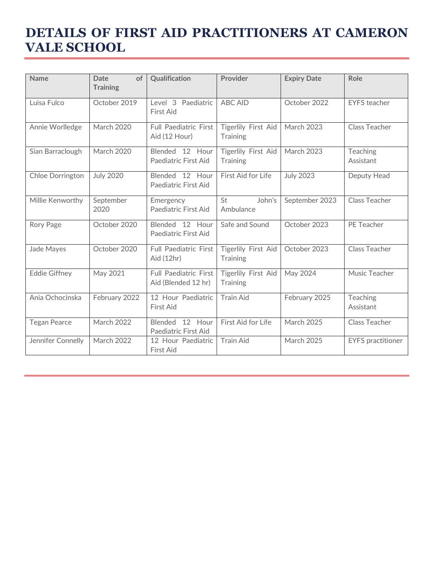## **DETAILS OF FIRST AID PRACTITIONERS AT CAMERON VALE SCHOOL**

| <b>Name</b>          | <b>Date</b><br>of<br><b>Training</b> | Qualification                                       | Provider                               | <b>Expiry Date</b> | Role                     |
|----------------------|--------------------------------------|-----------------------------------------------------|----------------------------------------|--------------------|--------------------------|
| Luisa Fulco          | October 2019                         | Level 3 Paediatric<br>First Aid                     | <b>ABC AID</b>                         | October 2022       | <b>EYFS</b> teacher      |
| Annie Worlledge      | <b>March 2020</b>                    | Full Paediatric First<br>Aid (12 Hour)              | Tigerlily First Aid<br><b>Training</b> | <b>March 2023</b>  | <b>Class Teacher</b>     |
| Sian Barraclough     | <b>March 2020</b>                    | Blended 12 Hour<br>Paediatric First Aid             | Tigerlily First Aid<br><b>Training</b> | <b>March 2023</b>  | Teaching<br>Assistant    |
| Chloe Dorrington     | <b>July 2020</b>                     | Blended 12 Hour<br>Paediatric First Aid             | First Aid for Life                     | <b>July 2023</b>   | Deputy Head              |
| Millie Kenworthy     | September<br>2020                    | Emergency<br>Paediatric First Aid                   | St<br>John's<br>Ambulance              | September 2023     | <b>Class Teacher</b>     |
| Rory Page            | October 2020                         | Blended 12 Hour<br>Paediatric First Aid             | Safe and Sound                         | October 2023       | PE Teacher               |
| <b>Jade Mayes</b>    | October 2020                         | <b>Full Paediatric First</b><br>Aid (12hr)          | Tigerlily First Aid<br><b>Training</b> | October 2023       | <b>Class Teacher</b>     |
| <b>Eddie Giffney</b> | May 2021                             | <b>Full Paediatric First</b><br>Aid (Blended 12 hr) | Tigerlily First Aid<br><b>Training</b> | May 2024           | Music Teacher            |
| Ania Ochocinska      | February 2022                        | 12 Hour Paediatric<br>First Aid                     | <b>Train Aid</b>                       | February 2025      | Teaching<br>Assistant    |
| <b>Tegan Pearce</b>  | <b>March 2022</b>                    | 12<br>Hour<br>Blended<br>Paediatric First Aid       | First Aid for Life                     | <b>March 2025</b>  | <b>Class Teacher</b>     |
| Jennifer Connelly    | <b>March 2022</b>                    | 12 Hour Paediatric<br>First Aid                     | <b>Train Aid</b>                       | <b>March 2025</b>  | <b>EYFS</b> practitioner |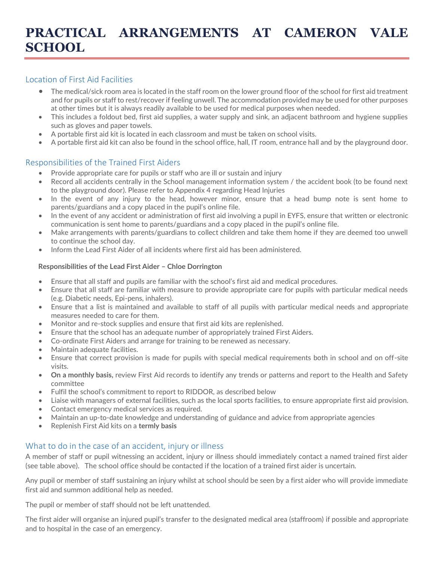## Location of First Aid Facilities

- The medical/sick room area is located in the staff room on the lower ground floor of the school for first aid treatment and for pupils or staff to rest/recover if feeling unwell. The accommodation provided may be used for other purposes at other times but it is always readily available to be used for medical purposes when needed.
- This includes a foldout bed, first aid supplies, a water supply and sink, an adjacent bathroom and hygiene supplies such as gloves and paper towels.
- A portable first aid kit is located in each classroom and must be taken on school visits.
- A portable first aid kit can also be found in the school office, hall, IT room, entrance hall and by the playground door.

## Responsibilities of the Trained First Aiders

- Provide appropriate care for pupils or staff who are ill or sustain and injury
- Record all accidents centrally in the School management information system / the accident book (to be found next to the playground door). Please refer to Appendix 4 regarding Head Injuries
- In the event of any injury to the head, however minor, ensure that a head bump note is sent home to parents/guardians and a copy placed in the pupil's online file.
- In the event of any accident or administration of first aid involving a pupil in EYFS, ensure that written or electronic communication is sent home to parents/guardians and a copy placed in the pupil's online file.
- Make arrangements with parents/guardians to collect children and take them home if they are deemed too unwell to continue the school day.
- Inform the Lead First Aider of all incidents where first aid has been administered.

#### **Responsibilities of the Lead First Aider – Chloe Dorrington**

- Ensure that all staff and pupils are familiar with the school's first aid and medical procedures.
- Ensure that all staff are familiar with measure to provide appropriate care for pupils with particular medical needs (e.g. Diabetic needs, Epi-pens, inhalers).
- Ensure that a list is maintained and available to staff of all pupils with particular medical needs and appropriate measures needed to care for them.
- Monitor and re-stock supplies and ensure that first aid kits are replenished.
- Ensure that the school has an adequate number of appropriately trained First Aiders.
- Co-ordinate First Aiders and arrange for training to be renewed as necessary.
- Maintain adequate facilities.
- Ensure that correct provision is made for pupils with special medical requirements both in school and on off-site visits.
- **On a monthly basis,** review First Aid records to identify any trends or patterns and report to the Health and Safety committee
- Fulfil the school's commitment to report to RIDDOR, as described below
- Liaise with managers of external facilities, such as the local sports facilities, to ensure appropriate first aid provision.
- Contact emergency medical services as required.
- Maintain an up-to-date knowledge and understanding of guidance and advice from appropriate agencies
- Replenish First Aid kits on a **termly basis**

## What to do in the case of an accident, injury or illness

A member of staff or pupil witnessing an accident, injury or illness should immediately contact a named trained first aider (see table above). The school office should be contacted if the location of a trained first aider is uncertain.

Any pupil or member of staff sustaining an injury whilst at school should be seen by a first aider who will provide immediate first aid and summon additional help as needed.

The pupil or member of staff should not be left unattended.

The first aider will organise an injured pupil's transfer to the designated medical area (staffroom) if possible and appropriate and to hospital in the case of an emergency.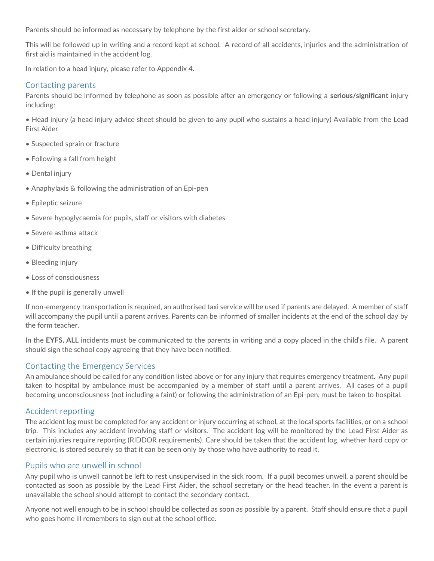Parents should be informed as necessary by telephone by the first aider or school secretary.

This will be followed up in writing and a record kept at school. A record of all accidents, injuries and the administration of first aid is maintained in the accident log.

In relation to a head injury, please refer to Appendix 4.

#### Contacting parents

Parents should be informed by telephone as soon as possible after an emergency or following a **serious/significant** injury including:

• Head injury (a head injury advice sheet should be given to any pupil who sustains a head injury) Available from the Lead First Aider

- Suspected sprain or fracture
- Following a fall from height
- Dental injury
- Anaphylaxis & following the administration of an Epi-pen
- Epileptic seizure
- Severe hypoglycaemia for pupils, staff or visitors with diabetes
- Severe asthma attack
- Difficulty breathing
- Bleeding injury
- Loss of consciousness
- If the pupil is generally unwell

If non-emergency transportation is required, an authorised taxi service will be used if parents are delayed. A member of staff will accompany the pupil until a parent arrives. Parents can be informed of smaller incidents at the end of the school day by the form teacher.

In the **EYFS, ALL** incidents must be communicated to the parents in writing and a copy placed in the child's file. A parent should sign the school copy agreeing that they have been notified.

#### Contacting the Emergency Services

An ambulance should be called for any condition listed above or for any injury that requires emergency treatment. Any pupil taken to hospital by ambulance must be accompanied by a member of staff until a parent arrives. All cases of a pupil becoming unconsciousness (not including a faint) or following the administration of an Epi-pen, must be taken to hospital.

#### Accident reporting

The accident log must be completed for any accident or injury occurring at school, at the local sports facilities, or on a school trip. This includes any accident involving staff or visitors. The accident log will be monitored by the Lead First Aider as certain injuries require reporting (RIDDOR requirements). Care should be taken that the accident log, whether hard copy or electronic, is stored securely so that it can be seen only by those who have authority to read it.

#### Pupils who are unwell in school

Any pupil who is unwell cannot be left to rest unsupervised in the sick room. If a pupil becomes unwell, a parent should be contacted as soon as possible by the Lead First Aider, the school secretary or the head teacher. In the event a parent is unavailable the school should attempt to contact the secondary contact.

Anyone not well enough to be in school should be collected as soon as possible by a parent. Staff should ensure that a pupil who goes home ill remembers to sign out at the school office.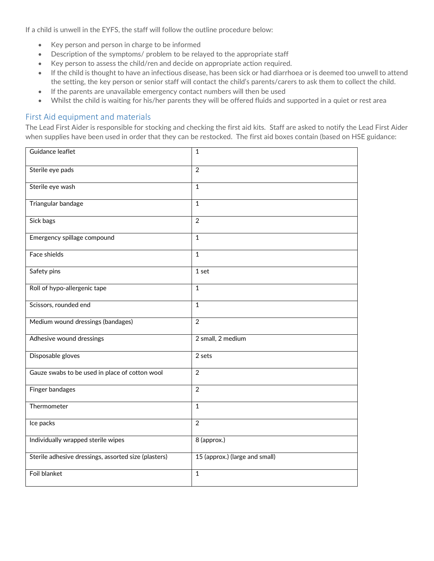If a child is unwell in the EYFS, the staff will follow the outline procedure below:

- Key person and person in charge to be informed
- Description of the symptoms/ problem to be relayed to the appropriate staff
- Key person to assess the child/ren and decide on appropriate action required.
- If the child is thought to have an infectious disease, has been sick or had diarrhoea or is deemed too unwell to attend the setting, the key person or senior staff will contact the child's parents/carers to ask them to collect the child.
- If the parents are unavailable emergency contact numbers will then be used
- Whilst the child is waiting for his/her parents they will be offered fluids and supported in a quiet or rest area

#### First Aid equipment and materials

The Lead First Aider is responsible for stocking and checking the first aid kits. Staff are asked to notify the Lead First Aider when supplies have been used in order that they can be restocked. The first aid boxes contain (based on HSE guidance:

| Guidance leaflet                                     | $\mathbf{1}$                   |
|------------------------------------------------------|--------------------------------|
| Sterile eye pads                                     | $\overline{2}$                 |
| Sterile eye wash                                     | $\overline{1}$                 |
| Triangular bandage                                   | $\mathbf{1}$                   |
| Sick bags                                            | $\overline{2}$                 |
| Emergency spillage compound                          | $\mathbf{1}$                   |
| Face shields                                         | $\mathbf 1$                    |
| Safety pins                                          | $1$ set                        |
| Roll of hypo-allergenic tape                         | $\mathbf{1}$                   |
| Scissors, rounded end                                | $\mathbf{1}$                   |
| Medium wound dressings (bandages)                    | $\overline{2}$                 |
| Adhesive wound dressings                             | 2 small, 2 medium              |
| Disposable gloves                                    | 2 sets                         |
| Gauze swabs to be used in place of cotton wool       | $\overline{2}$                 |
| <b>Finger bandages</b>                               | 2                              |
| Thermometer                                          | $\mathbf{1}$                   |
| Ice packs                                            | $\overline{2}$                 |
| Individually wrapped sterile wipes                   | 8 (approx.)                    |
| Sterile adhesive dressings, assorted size (plasters) | 15 (approx.) (large and small) |
| Foil blanket                                         | $\mathbf 1$                    |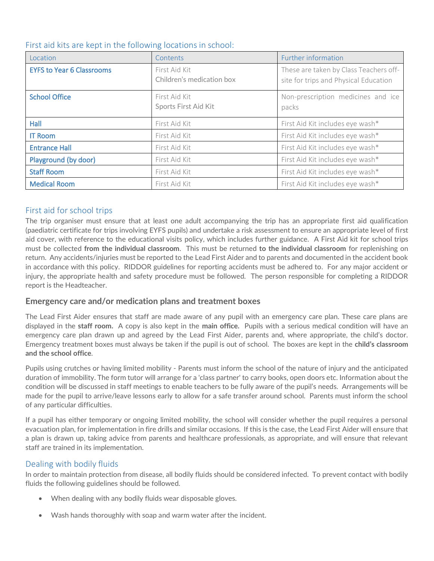| First aid kits are kept in the following locations in school: |  |  |  |  |
|---------------------------------------------------------------|--|--|--|--|
|---------------------------------------------------------------|--|--|--|--|

| Location                         | Contents                                   | Further information                                                             |
|----------------------------------|--------------------------------------------|---------------------------------------------------------------------------------|
| <b>EYFS to Year 6 Classrooms</b> | First Aid Kit<br>Children's medication box | These are taken by Class Teachers off-<br>site for trips and Physical Education |
| <b>School Office</b>             | First Aid Kit<br>Sports First Aid Kit      | Non-prescription medicines and ice<br>packs                                     |
| <b>Hall</b>                      | First Aid Kit                              | First Aid Kit includes eye wash*                                                |
| <b>IT Room</b>                   | First Aid Kit                              | First Aid Kit includes eye wash*                                                |
| <b>Entrance Hall</b>             | First Aid Kit                              | First Aid Kit includes eye wash*                                                |
| Playground (by door)             | First Aid Kit                              | First Aid Kit includes eye wash*                                                |
| <b>Staff Room</b>                | First Aid Kit                              | First Aid Kit includes eye wash*                                                |
| <b>Medical Room</b>              | First Aid Kit                              | First Aid Kit includes eye wash*                                                |

## First aid for school trips

The trip organiser must ensure that at least one adult accompanying the trip has an appropriate first aid qualification (paediatric certificate for trips involving EYFS pupils) and undertake a risk assessment to ensure an appropriate level of first aid cover, with reference to the educational visits policy, which includes further guidance. A First Aid kit for school trips must be collected **from the individual classroom**. This must be returned **to the individual classroom** for replenishing on return. Any accidents/injuries must be reported to the Lead First Aider and to parents and documented in the accident book in accordance with this policy. RIDDOR guidelines for reporting accidents must be adhered to. For any major accident or injury, the appropriate health and safety procedure must be followed. The person responsible for completing a RIDDOR report is the Headteacher.

#### **Emergency care and/or medication plans and treatment boxes**

The Lead First Aider ensures that staff are made aware of any pupil with an emergency care plan. These care plans are displayed in the **staff room.** A copy is also kept in the **main office.** Pupils with a serious medical condition will have an emergency care plan drawn up and agreed by the Lead First Aider, parents and, where appropriate, the child's doctor. Emergency treatment boxes must always be taken if the pupil is out of school. The boxes are kept in the **child's classroom and the school office**.

Pupils using crutches or having limited mobility - Parents must inform the school of the nature of injury and the anticipated duration of immobility. The form tutor will arrange for a 'class partner' to carry books, open doors etc. Information about the condition will be discussed in staff meetings to enable teachers to be fully aware of the pupil's needs. Arrangements will be made for the pupil to arrive/leave lessons early to allow for a safe transfer around school. Parents must inform the school of any particular difficulties.

If a pupil has either temporary or ongoing limited mobility, the school will consider whether the pupil requires a personal evacuation plan, for implementation in fire drills and similar occasions. If this is the case, the Lead First Aider will ensure that a plan is drawn up, taking advice from parents and healthcare professionals, as appropriate, and will ensure that relevant staff are trained in its implementation.

## Dealing with bodily fluids

In order to maintain protection from disease, all bodily fluids should be considered infected. To prevent contact with bodily fluids the following guidelines should be followed.

- When dealing with any bodily fluids wear disposable gloves.
- Wash hands thoroughly with soap and warm water after the incident.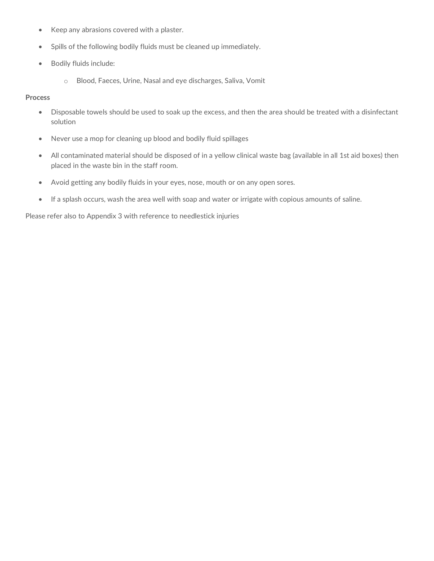- Keep any abrasions covered with a plaster.
- Spills of the following bodily fluids must be cleaned up immediately.
- Bodily fluids include:
	- o Blood, Faeces, Urine, Nasal and eye discharges, Saliva, Vomit

#### **Process**

- Disposable towels should be used to soak up the excess, and then the area should be treated with a disinfectant solution
- Never use a mop for cleaning up blood and bodily fluid spillages
- All contaminated material should be disposed of in a yellow clinical waste bag (available in all 1st aid boxes) then placed in the waste bin in the staff room.
- Avoid getting any bodily fluids in your eyes, nose, mouth or on any open sores.
- If a splash occurs, wash the area well with soap and water or irrigate with copious amounts of saline.

Please refer also to Appendix 3 with reference to needlestick injuries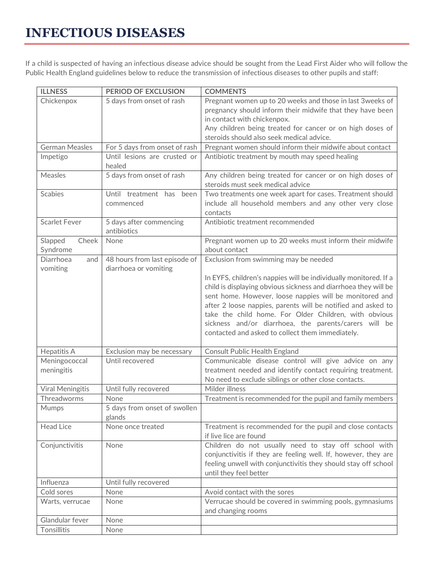# **INFECTIOUS DISEASES**

If a child is suspected of having an infectious disease advice should be sought from the Lead First Aider who will follow the Public Health England guidelines below to reduce the transmission of infectious diseases to other pupils and staff:

| <b>ILLNESS</b>        | <b>PERIOD OF EXCLUSION</b>    | <b>COMMENTS</b>                                                  |
|-----------------------|-------------------------------|------------------------------------------------------------------|
| Chickenpox            | 5 days from onset of rash     | Pregnant women up to 20 weeks and those in last 3 weeks of       |
|                       |                               | pregnancy should inform their midwife that they have been        |
|                       |                               | in contact with chickenpox.                                      |
|                       |                               | Any children being treated for cancer or on high doses of        |
|                       |                               | steroids should also seek medical advice.                        |
| <b>German Measles</b> | For 5 days from onset of rash | Pregnant women should inform their midwife about contact         |
| Impetigo              | Until lesions are crusted or  | Antibiotic treatment by mouth may speed healing                  |
|                       | healed                        |                                                                  |
| Measles               | 5 days from onset of rash     | Any children being treated for cancer or on high doses of        |
|                       |                               | steroids must seek medical advice                                |
| <b>Scabies</b>        | Until treatment has been      | Two treatments one week apart for cases. Treatment should        |
|                       | commenced                     | include all household members and any other very close           |
|                       |                               | contacts                                                         |
| <b>Scarlet Fever</b>  | 5 days after commencing       | Antibiotic treatment recommended                                 |
|                       | antibiotics                   |                                                                  |
| Slapped<br>Cheek      | None                          | Pregnant women up to 20 weeks must inform their midwife          |
| Syndrome              |                               | about contact                                                    |
| Diarrhoea<br>and      | 48 hours from last episode of | Exclusion from swimming may be needed                            |
| vomiting              | diarrhoea or vomiting         |                                                                  |
|                       |                               | In EYFS, children's nappies will be individually monitored. If a |
|                       |                               | child is displaying obvious sickness and diarrhoea they will be  |
|                       |                               | sent home. However, loose nappies will be monitored and          |
|                       |                               | after 2 loose nappies, parents will be notified and asked to     |
|                       |                               | take the child home. For Older Children, with obvious            |
|                       |                               | sickness and/or diarrhoea, the parents/carers will be            |
|                       |                               | contacted and asked to collect them immediately.                 |
|                       |                               |                                                                  |
| <b>Hepatitis A</b>    | Exclusion may be necessary    | Consult Public Health England                                    |
| Meningococcal         | Until recovered               | Communicable disease control will give advice on any             |
| meningitis            |                               | treatment needed and identify contact requiring treatment.       |
|                       |                               | No need to exclude siblings or other close contacts.             |
| Viral Meningitis      | Until fully recovered         | Milder illness                                                   |
| Threadworms           | None                          | Treatment is recommended for the pupil and family members        |
| Mumps                 | 5 days from onset of swollen  |                                                                  |
|                       | glands                        |                                                                  |
| <b>Head Lice</b>      | None once treated             | Treatment is recommended for the pupil and close contacts        |
|                       |                               | if live lice are found                                           |
| Conjunctivitis        | None                          | Children do not usually need to stay off school with             |
|                       |                               | conjunctivitis if they are feeling well. If, however, they are   |
|                       |                               | feeling unwell with conjunctivitis they should stay off school   |
|                       |                               | until they feel better                                           |
| Influenza             | Until fully recovered         |                                                                  |
| Cold sores            | None                          | Avoid contact with the sores                                     |
| Warts, verrucae       | None                          | Verrucae should be covered in swimming pools, gymnasiums         |
|                       |                               | and changing rooms                                               |
| Glandular fever       | None                          |                                                                  |
| Tonsillitis           | None                          |                                                                  |
|                       |                               |                                                                  |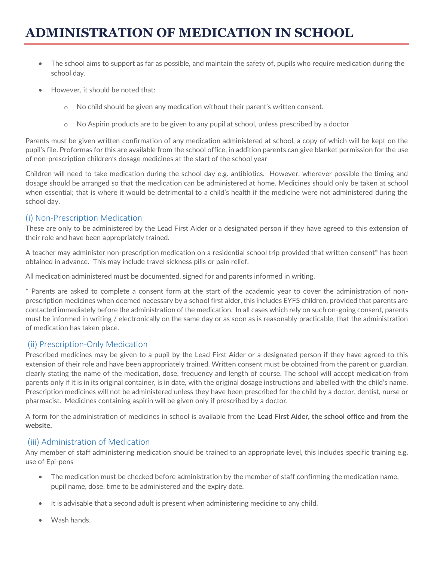# **ADMINISTRATION OF MEDICATION IN SCHOOL**

- The school aims to support as far as possible, and maintain the safety of, pupils who require medication during the school day.
- However, it should be noted that:
	- $\circ$  No child should be given any medication without their parent's written consent.
	- o No Aspirin products are to be given to any pupil at school, unless prescribed by a doctor

Parents must be given written confirmation of any medication administered at school, a copy of which will be kept on the pupil's file. Proformas for this are available from the school office, in addition parents can give blanket permission for the use of non-prescription children's dosage medicines at the start of the school year

Children will need to take medication during the school day e.g. antibiotics. However, wherever possible the timing and dosage should be arranged so that the medication can be administered at home. Medicines should only be taken at school when essential; that is where it would be detrimental to a child's health if the medicine were not administered during the school day.

## (i) Non-Prescription Medication

These are only to be administered by the Lead First Aider or a designated person if they have agreed to this extension of their role and have been appropriately trained.

A teacher may administer non-prescription medication on a residential school trip provided that written consent\* has been obtained in advance. This may include travel sickness pills or pain relief.

All medication administered must be documented, signed for and parents informed in writing.

\* Parents are asked to complete a consent form at the start of the academic year to cover the administration of nonprescription medicines when deemed necessary by a school first aider, this includes EYFS children, provided that parents are contacted immediately before the administration of the medication. In all cases which rely on such on-going consent, parents must be informed in writing / electronically on the same day or as soon as is reasonably practicable, that the administration of medication has taken place.

## (ii) Prescription-Only Medication

Prescribed medicines may be given to a pupil by the Lead First Aider or a designated person if they have agreed to this extension of their role and have been appropriately trained. Written consent must be obtained from the parent or guardian, clearly stating the name of the medication, dose, frequency and length of course. The school will accept medication from parents only if it is in its original container, is in date, with the original dosage instructions and labelled with the child's name. Prescription medicines will not be administered unless they have been prescribed for the child by a doctor, dentist, nurse or pharmacist. Medicines containing aspirin will be given only if prescribed by a doctor.

A form for the administration of medicines in school is available from the **Lead First Aider, the school office and from the website.**

#### (iii) Administration of Medication

Any member of staff administering medication should be trained to an appropriate level, this includes specific training e.g. use of Epi-pens

- The medication must be checked before administration by the member of staff confirming the medication name, pupil name, dose, time to be administered and the expiry date.
- It is advisable that a second adult is present when administering medicine to any child.
- Wash hands.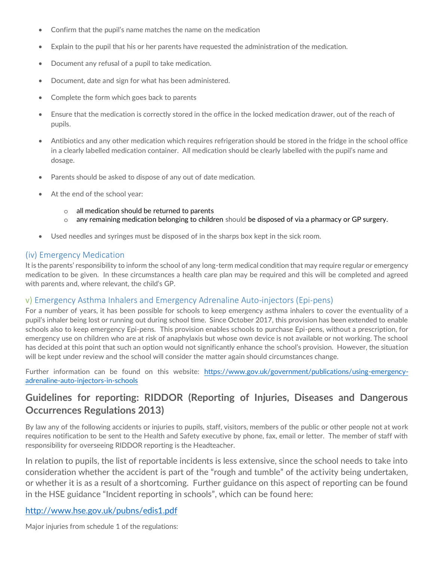- Confirm that the pupil's name matches the name on the medication
- Explain to the pupil that his or her parents have requested the administration of the medication.
- Document any refusal of a pupil to take medication.
- Document, date and sign for what has been administered.
- Complete the form which goes back to parents
- Ensure that the medication is correctly stored in the office in the locked medication drawer, out of the reach of pupils.
- Antibiotics and any other medication which requires refrigeration should be stored in the fridge in the school office in a clearly labelled medication container. All medication should be clearly labelled with the pupil's name and dosage.
- Parents should be asked to dispose of any out of date medication.
- At the end of the school year:
	- o all medication should be returned to parents
	- $\circ$  any remaining medication belonging to children should be disposed of via a pharmacy or GP surgery.
- Used needles and syringes must be disposed of in the sharps box kept in the sick room.

### (iv) Emergency Medication

It is the parents' responsibility to inform the school of any long-term medical condition that may require regular or emergency medication to be given. In these circumstances a health care plan may be required and this will be completed and agreed with parents and, where relevant, the child's GP.

## v) Emergency Asthma Inhalers and Emergency Adrenaline Auto-injectors (Epi-pens)

For a number of years, it has been possible for schools to keep emergency asthma inhalers to cover the eventuality of a pupil's inhaler being lost or running out during school time. Since October 2017, this provision has been extended to enable schools also to keep emergency Epi-pens. This provision enables schools to purchase Epi-pens, without a prescription, for emergency use on children who are at risk of anaphylaxis but whose own device is not available or not working. The school has decided at this point that such an option would not significantly enhance the school's provision. However, the situation will be kept under review and the school will consider the matter again should circumstances change.

Further information can be found on this website: [https://www.gov.uk/government/publications/using-emergency](https://www.gov.uk/government/publications/using-emergency-adrenaline-auto-injectors-in-schools)[adrenaline-auto-injectors-in-schools](https://www.gov.uk/government/publications/using-emergency-adrenaline-auto-injectors-in-schools)

## **Guidelines for reporting: RIDDOR (Reporting of Injuries, Diseases and Dangerous Occurrences Regulations 2013)**

By law any of the following accidents or injuries to pupils, staff, visitors, members of the public or other people not at work requires notification to be sent to the Health and Safety executive by phone, fax, email or letter. The member of staff with responsibility for overseeing RIDDOR reporting is the Headteacher.

In relation to pupils, the list of reportable incidents is less extensive, since the school needs to take into consideration whether the accident is part of the "rough and tumble" of the activity being undertaken, or whether it is as a result of a shortcoming. Further guidance on this aspect of reporting can be found in the HSE guidance "Incident reporting in schools", which can be found here:

## <http://www.hse.gov.uk/pubns/edis1.pdf>

Major injuries from schedule 1 of the regulations: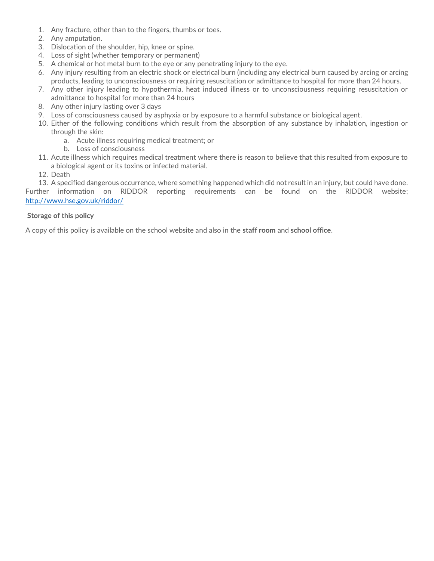- 1. Any fracture, other than to the fingers, thumbs or toes.
- 2. Any amputation.
- 3. Dislocation of the shoulder, hip, knee or spine.
- 4. Loss of sight (whether temporary or permanent)
- 5. A chemical or hot metal burn to the eye or any penetrating injury to the eye.
- 6. Any injury resulting from an electric shock or electrical burn (including any electrical burn caused by arcing or arcing products, leading to unconsciousness or requiring resuscitation or admittance to hospital for more than 24 hours.
- 7. Any other injury leading to hypothermia, heat induced illness or to unconsciousness requiring resuscitation or admittance to hospital for more than 24 hours
- 8. Any other injury lasting over 3 days
- 9. Loss of consciousness caused by asphyxia or by exposure to a harmful substance or biological agent.
- 10. Either of the following conditions which result from the absorption of any substance by inhalation, ingestion or through the skin:
	- a. Acute illness requiring medical treatment; or
	- b. Loss of consciousness
- 11. Acute illness which requires medical treatment where there is reason to believe that this resulted from exposure to a biological agent or its toxins or infected material.
- 12. Death
- 13. A specified dangerous occurrence, where something happened which did not result in an injury, but could have done.

Further information on RIDDOR reporting requirements can be found on the RIDDOR website; <http://www.hse.gov.uk/riddor/>

#### **Storage of this policy**

A copy of this policy is available on the school website and also in the **staff room** and **school office**.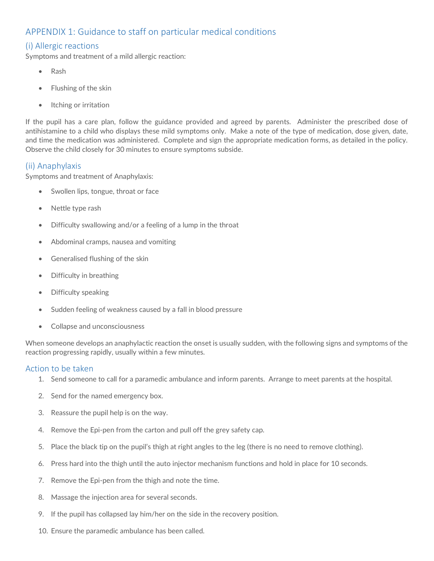## APPENDIX 1: Guidance to staff on particular medical conditions

## (i) Allergic reactions

Symptoms and treatment of a mild allergic reaction:

- Rash
- Flushing of the skin
- Itching or irritation

If the pupil has a care plan, follow the guidance provided and agreed by parents. Administer the prescribed dose of antihistamine to a child who displays these mild symptoms only. Make a note of the type of medication, dose given, date, and time the medication was administered. Complete and sign the appropriate medication forms, as detailed in the policy. Observe the child closely for 30 minutes to ensure symptoms subside.

#### (ii) Anaphylaxis

Symptoms and treatment of Anaphylaxis:

- Swollen lips, tongue, throat or face
- Nettle type rash
- Difficulty swallowing and/or a feeling of a lump in the throat
- Abdominal cramps, nausea and vomiting
- Generalised flushing of the skin
- Difficulty in breathing
- Difficulty speaking
- Sudden feeling of weakness caused by a fall in blood pressure
- Collapse and unconsciousness

When someone develops an anaphylactic reaction the onset is usually sudden, with the following signs and symptoms of the reaction progressing rapidly, usually within a few minutes.

#### Action to be taken

- 1. Send someone to call for a paramedic ambulance and inform parents. Arrange to meet parents at the hospital.
- 2. Send for the named emergency box.
- 3. Reassure the pupil help is on the way.
- 4. Remove the Epi-pen from the carton and pull off the grey safety cap.
- 5. Place the black tip on the pupil's thigh at right angles to the leg (there is no need to remove clothing).
- 6. Press hard into the thigh until the auto injector mechanism functions and hold in place for 10 seconds.
- 7. Remove the Epi-pen from the thigh and note the time.
- 8. Massage the injection area for several seconds.
- 9. If the pupil has collapsed lay him/her on the side in the recovery position.
- 10. Ensure the paramedic ambulance has been called.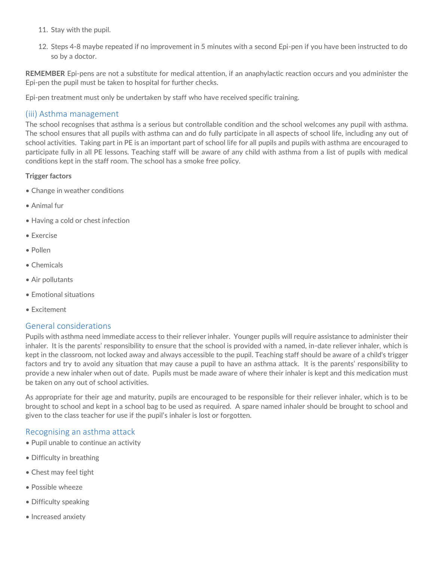- 11. Stay with the pupil.
- 12. Steps 4-8 maybe repeated if no improvement in 5 minutes with a second Epi-pen if you have been instructed to do so by a doctor.

**REMEMBER** Epi-pens are not a substitute for medical attention, if an anaphylactic reaction occurs and you administer the Epi-pen the pupil must be taken to hospital for further checks.

Epi-pen treatment must only be undertaken by staff who have received specific training.

#### (iii) Asthma management

The school recognises that asthma is a serious but controllable condition and the school welcomes any pupil with asthma. The school ensures that all pupils with asthma can and do fully participate in all aspects of school life, including any out of school activities. Taking part in PE is an important part of school life for all pupils and pupils with asthma are encouraged to participate fully in all PE lessons. Teaching staff will be aware of any child with asthma from a list of pupils with medical conditions kept in the staff room. The school has a smoke free policy.

#### **Trigger factors**

- Change in weather conditions
- Animal fur
- Having a cold or chest infection
- Exercise
- Pollen
- Chemicals
- Air pollutants
- Emotional situations
- Excitement

#### General considerations

Pupils with asthma need immediate access to their reliever inhaler. Younger pupils will require assistance to administer their inhaler. It is the parents' responsibility to ensure that the school is provided with a named, in-date reliever inhaler, which is kept in the classroom, not locked away and always accessible to the pupil. Teaching staff should be aware of a child's trigger factors and try to avoid any situation that may cause a pupil to have an asthma attack. It is the parents' responsibility to provide a new inhaler when out of date. Pupils must be made aware of where their inhaler is kept and this medication must be taken on any out of school activities.

As appropriate for their age and maturity, pupils are encouraged to be responsible for their reliever inhaler, which is to be brought to school and kept in a school bag to be used as required. A spare named inhaler should be brought to school and given to the class teacher for use if the pupil's inhaler is lost or forgotten.

#### Recognising an asthma attack

- Pupil unable to continue an activity
- Difficulty in breathing
- Chest may feel tight
- Possible wheeze
- Difficulty speaking
- Increased anxiety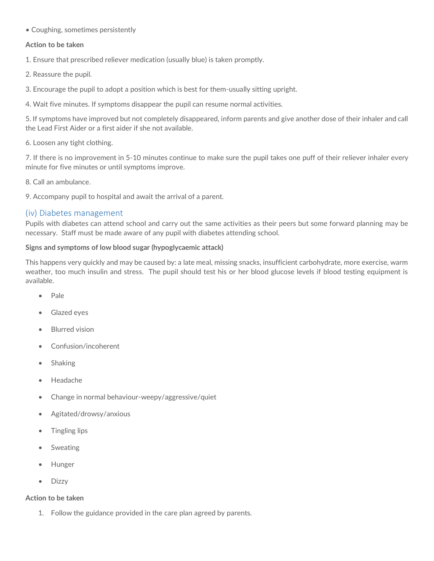• Coughing, sometimes persistently

#### **Action to be taken**

1. Ensure that prescribed reliever medication (usually blue) is taken promptly.

- 2. Reassure the pupil.
- 3. Encourage the pupil to adopt a position which is best for them-usually sitting upright.
- 4. Wait five minutes. If symptoms disappear the pupil can resume normal activities.

5. If symptoms have improved but not completely disappeared, inform parents and give another dose of their inhaler and call the Lead First Aider or a first aider if she not available.

6. Loosen any tight clothing.

7. If there is no improvement in 5-10 minutes continue to make sure the pupil takes one puff of their reliever inhaler every minute for five minutes or until symptoms improve.

8. Call an ambulance.

9. Accompany pupil to hospital and await the arrival of a parent.

#### (iv) Diabetes management

Pupils with diabetes can attend school and carry out the same activities as their peers but some forward planning may be necessary. Staff must be made aware of any pupil with diabetes attending school.

#### **Signs and symptoms of low blood sugar (hypoglycaemic attack)**

This happens very quickly and may be caused by: a late meal, missing snacks, insufficient carbohydrate, more exercise, warm weather, too much insulin and stress. The pupil should test his or her blood glucose levels if blood testing equipment is available.

- Pale
- Glazed eyes
- Blurred vision
- Confusion/incoherent
- Shaking
- Headache
- Change in normal behaviour-weepy/aggressive/quiet
- Agitated/drowsy/anxious
- Tingling lips
- **Sweating**
- Hunger
- Dizzy

#### **Action to be taken**

1. Follow the guidance provided in the care plan agreed by parents.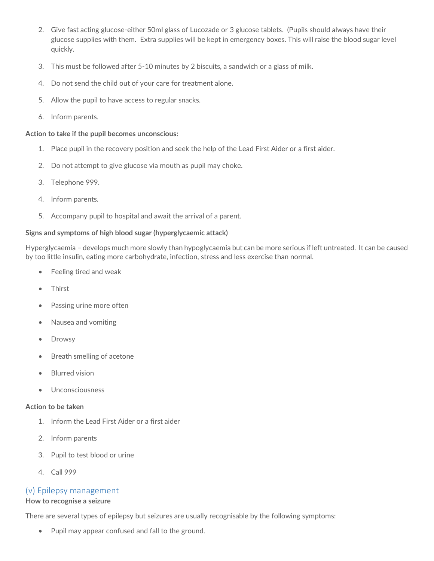- 2. Give fast acting glucose-either 50ml glass of Lucozade or 3 glucose tablets. (Pupils should always have their glucose supplies with them. Extra supplies will be kept in emergency boxes. This will raise the blood sugar level quickly.
- 3. This must be followed after 5-10 minutes by 2 biscuits, a sandwich or a glass of milk.
- 4. Do not send the child out of your care for treatment alone.
- 5. Allow the pupil to have access to regular snacks.
- 6. Inform parents.

#### **Action to take if the pupil becomes unconscious:**

- 1. Place pupil in the recovery position and seek the help of the Lead First Aider or a first aider.
- 2. Do not attempt to give glucose via mouth as pupil may choke.
- 3. Telephone 999.
- 4. Inform parents.
- 5. Accompany pupil to hospital and await the arrival of a parent.

#### **Signs and symptoms of high blood sugar (hyperglycaemic attack)**

Hyperglycaemia – develops much more slowly than hypoglycaemia but can be more serious if left untreated. It can be caused by too little insulin, eating more carbohydrate, infection, stress and less exercise than normal.

- Feeling tired and weak
- Thirst
- Passing urine more often
- Nausea and vomiting
- Drowsy
- Breath smelling of acetone
- Blurred vision
- Unconsciousness

#### **Action to be taken**

- 1. Inform the Lead First Aider or a first aider
- 2. Inform parents
- 3. Pupil to test blood or urine
- 4. Call 999

## (v) Epilepsy management

#### **How to recognise a seizure**

There are several types of epilepsy but seizures are usually recognisable by the following symptoms:

• Pupil may appear confused and fall to the ground.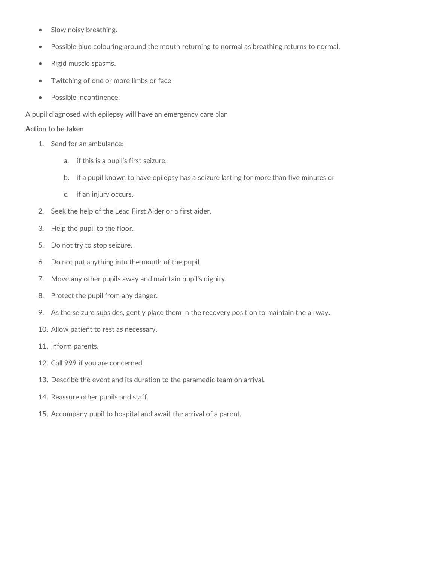- Slow noisy breathing.
- Possible blue colouring around the mouth returning to normal as breathing returns to normal.
- Rigid muscle spasms.
- Twitching of one or more limbs or face
- Possible incontinence.

A pupil diagnosed with epilepsy will have an emergency care plan

#### **Action to be taken**

- 1. Send for an ambulance;
	- a. if this is a pupil's first seizure,
	- b. if a pupil known to have epilepsy has a seizure lasting for more than five minutes or
	- c. if an injury occurs.
- 2. Seek the help of the Lead First Aider or a first aider.
- 3. Help the pupil to the floor.
- 5. Do not try to stop seizure.
- 6. Do not put anything into the mouth of the pupil.
- 7. Move any other pupils away and maintain pupil's dignity.
- 8. Protect the pupil from any danger.
- 9. As the seizure subsides, gently place them in the recovery position to maintain the airway.
- 10. Allow patient to rest as necessary.
- 11. Inform parents.
- 12. Call 999 if you are concerned.
- 13. Describe the event and its duration to the paramedic team on arrival.
- 14. Reassure other pupils and staff.
- 15. Accompany pupil to hospital and await the arrival of a parent.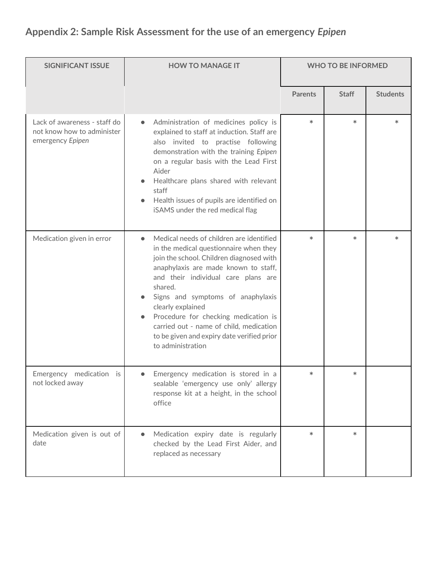## **Appendix 2: Sample Risk Assessment for the use of an emergency** *Epipen*

| <b>SIGNIFICANT ISSUE</b>                                                       | <b>HOW TO MANAGE IT</b>                                                                                                                                                                                                                                                                                                                                                                                                                  |                | <b>WHO TO BE INFORMED</b> |                 |
|--------------------------------------------------------------------------------|------------------------------------------------------------------------------------------------------------------------------------------------------------------------------------------------------------------------------------------------------------------------------------------------------------------------------------------------------------------------------------------------------------------------------------------|----------------|---------------------------|-----------------|
|                                                                                |                                                                                                                                                                                                                                                                                                                                                                                                                                          | <b>Parents</b> | <b>Staff</b>              | <b>Students</b> |
| Lack of awareness - staff do<br>not know how to administer<br>emergency Epipen | Administration of medicines policy is<br>$\bullet$<br>explained to staff at induction. Staff are<br>also invited to practise following<br>demonstration with the training Epipen<br>on a regular basis with the Lead First<br>Aider<br>Healthcare plans shared with relevant<br>staff<br>Health issues of pupils are identified on<br>iSAMS under the red medical flag                                                                   | $\ast$         | $\ast$                    | $\ast$          |
| Medication given in error                                                      | Medical needs of children are identified<br>in the medical questionnaire when they<br>join the school. Children diagnosed with<br>anaphylaxis are made known to staff,<br>and their individual care plans are<br>shared.<br>Signs and symptoms of anaphylaxis<br>clearly explained<br>Procedure for checking medication is<br>carried out - name of child, medication<br>to be given and expiry date verified prior<br>to administration | $\ast$         | $\ast$                    | $\ast$          |
| Emergency medication is<br>not locked away                                     | Emergency medication is stored in a<br>sealable 'emergency use only' allergy<br>response kit at a height, in the school<br>office                                                                                                                                                                                                                                                                                                        |                |                           |                 |
| Medication given is out of<br>date                                             | Medication expiry date is regularly<br>$\bullet$<br>checked by the Lead First Aider, and<br>replaced as necessary                                                                                                                                                                                                                                                                                                                        | $*$            | $\ast$                    |                 |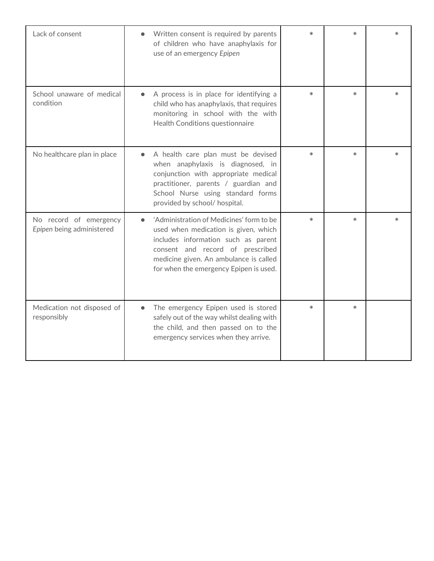| Lack of consent                                     | Written consent is required by parents<br>of children who have anaphylaxis for<br>use of an emergency Epipen                                                                                                                                    | $\ast$ | $\ast$ |        |
|-----------------------------------------------------|-------------------------------------------------------------------------------------------------------------------------------------------------------------------------------------------------------------------------------------------------|--------|--------|--------|
| School unaware of medical<br>condition              | A process is in place for identifying a<br>child who has anaphylaxis, that requires<br>monitoring in school with the with<br>Health Conditions questionnaire                                                                                    | $\ast$ | $\ast$ | $\ast$ |
| No healthcare plan in place                         | A health care plan must be devised<br>when anaphylaxis is diagnosed, in<br>conjunction with appropriate medical<br>practitioner, parents / guardian and<br>School Nurse using standard forms<br>provided by school/ hospital.                   | $\ast$ | $\ast$ |        |
| No record of emergency<br>Epipen being administered | 'Administration of Medicines' form to be<br>used when medication is given, which<br>includes information such as parent<br>consent and record of prescribed<br>medicine given. An ambulance is called<br>for when the emergency Epipen is used. | $\ast$ | $\ast$ |        |
| Medication not disposed of<br>responsibly           | The emergency Epipen used is stored<br>$\bullet$<br>safely out of the way whilst dealing with<br>the child, and then passed on to the<br>emergency services when they arrive.                                                                   | $\ast$ | $\ast$ |        |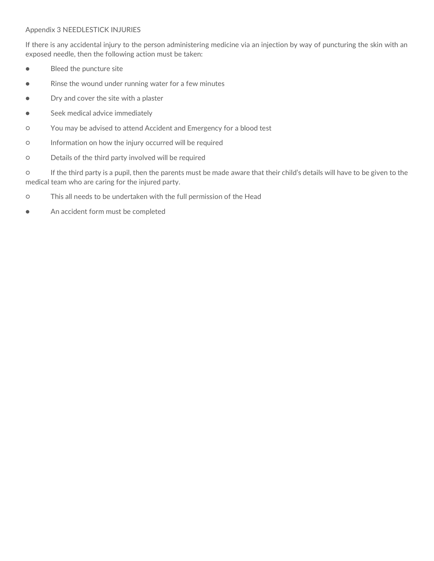#### Appendix 3 NEEDLESTICK INJURIES

If there is any accidental injury to the person administering medicine via an injection by way of puncturing the skin with an exposed needle, then the following action must be taken:

- Bleed the puncture site
- Rinse the wound under running water for a few minutes
- Dry and cover the site with a plaster
- Seek medical advice immediately
- You may be advised to attend Accident and Emergency for a blood test
- Information on how the injury occurred will be required
- Details of the third party involved will be required

○ If the third party is a pupil, then the parents must be made aware that their child's details will have to be given to the medical team who are caring for the injured party.

- This all needs to be undertaken with the full permission of the Head
- An accident form must be completed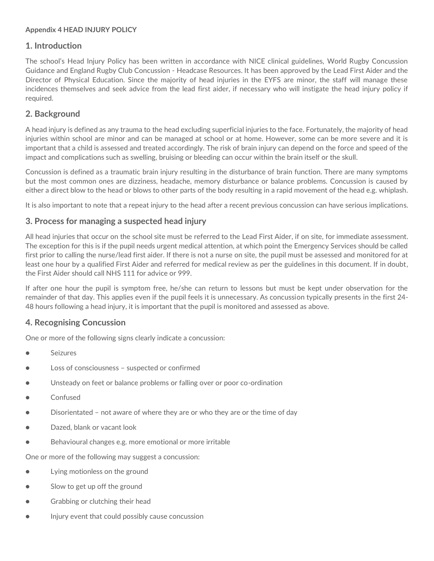#### **Appendix 4 HEAD INJURY POLICY**

## **1. Introduction**

The school's Head Injury Policy has been written in accordance with NICE clinical guidelines, World Rugby Concussion Guidance and England Rugby Club Concussion - Headcase Resources. It has been approved by the Lead First Aider and the Director of Physical Education. Since the majority of head injuries in the EYFS are minor, the staff will manage these incidences themselves and seek advice from the lead first aider, if necessary who will instigate the head injury policy if required.

## **2. Background**

A head injury is defined as any trauma to the head excluding superficial injuries to the face. Fortunately, the majority of head injuries within school are minor and can be managed at school or at home. However, some can be more severe and it is important that a child is assessed and treated accordingly. The risk of brain injury can depend on the force and speed of the impact and complications such as swelling, bruising or bleeding can occur within the brain itself or the skull.

Concussion is defined as a traumatic brain injury resulting in the disturbance of brain function. There are many symptoms but the most common ones are dizziness, headache, memory disturbance or balance problems. Concussion is caused by either a direct blow to the head or blows to other parts of the body resulting in a rapid movement of the head e.g. whiplash.

It is also important to note that a repeat injury to the head after a recent previous concussion can have serious implications.

## **3. Process for managing a suspected head injury**

All head injuries that occur on the school site must be referred to the Lead First Aider, if on site, for immediate assessment. The exception for this is if the pupil needs urgent medical attention, at which point the Emergency Services should be called first prior to calling the nurse/lead first aider. If there is not a nurse on site, the pupil must be assessed and monitored for at least one hour by a qualified First Aider and referred for medical review as per the guidelines in this document. If in doubt, the First Aider should call NHS 111 for advice or 999.

If after one hour the pupil is symptom free, he/she can return to lessons but must be kept under observation for the remainder of that day. This applies even if the pupil feels it is unnecessary. As concussion typically presents in the first 24- 48 hours following a head injury, it is important that the pupil is monitored and assessed as above.

## **4. Recognising Concussion**

One or more of the following signs clearly indicate a concussion:

- Seizures
- Loss of consciousness suspected or confirmed
- Unsteady on feet or balance problems or falling over or poor co-ordination
- Confused
- Disorientated not aware of where they are or who they are or the time of day
- Dazed, blank or vacant look
- Behavioural changes e.g. more emotional or more irritable

One or more of the following may suggest a concussion:

- Lying motionless on the ground
- Slow to get up off the ground
- Grabbing or clutching their head
- Injury event that could possibly cause concussion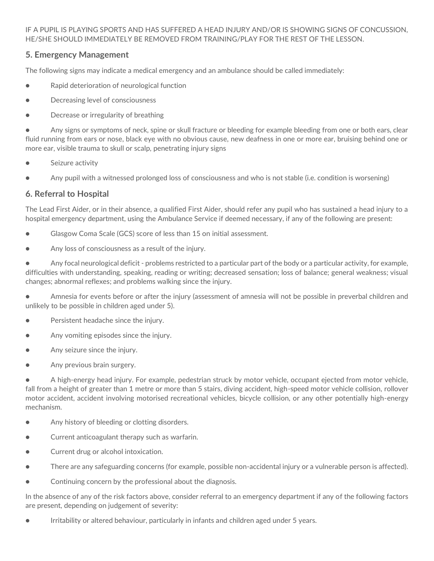IF A PUPIL IS PLAYING SPORTS AND HAS SUFFERED A HEAD INJURY AND/OR IS SHOWING SIGNS OF CONCUSSION, HE/SHE SHOULD IMMEDIATELY BE REMOVED FROM TRAINING/PLAY FOR THE REST OF THE LESSON.

## **5. Emergency Management**

The following signs may indicate a medical emergency and an ambulance should be called immediately:

- Rapid deterioration of neurological function
- Decreasing level of consciousness
- Decrease or irregularity of breathing

● Any signs or symptoms of neck, spine or skull fracture or bleeding for example bleeding from one or both ears, clear fluid running from ears or nose, black eye with no obvious cause, new deafness in one or more ear, bruising behind one or more ear, visible trauma to skull or scalp, penetrating injury signs

- Seizure activity
- Any pupil with a witnessed prolonged loss of consciousness and who is not stable (i.e. condition is worsening)

## **6. Referral to Hospital**

The Lead First Aider, or in their absence, a qualified First Aider, should refer any pupil who has sustained a head injury to a hospital emergency department, using the Ambulance Service if deemed necessary, if any of the following are present:

- Glasgow Coma Scale (GCS) score of less than 15 on initial assessment.
- Any loss of consciousness as a result of the injury.

● Any focal neurological deficit - problems restricted to a particular part of the body or a particular activity, for example, difficulties with understanding, speaking, reading or writing; decreased sensation; loss of balance; general weakness; visual changes; abnormal reflexes; and problems walking since the injury.

● Amnesia for events before or after the injury (assessment of amnesia will not be possible in preverbal children and unlikely to be possible in children aged under 5).

- Persistent headache since the injury.
- Any vomiting episodes since the injury.
- Any seizure since the injury.
- Any previous brain surgery.

● A high-energy head injury. For example, pedestrian struck by motor vehicle, occupant ejected from motor vehicle, fall from a height of greater than 1 metre or more than 5 stairs, diving accident, high-speed motor vehicle collision, rollover motor accident, accident involving motorised recreational vehicles, bicycle collision, or any other potentially high-energy mechanism.

- Any history of bleeding or clotting disorders.
- Current anticoagulant therapy such as warfarin.
- Current drug or alcohol intoxication.
- There are any safeguarding concerns (for example, possible non-accidental injury or a vulnerable person is affected).
- Continuing concern by the professional about the diagnosis.

In the absence of any of the risk factors above, consider referral to an emergency department if any of the following factors are present, depending on judgement of severity:

● Irritability or altered behaviour, particularly in infants and children aged under 5 years.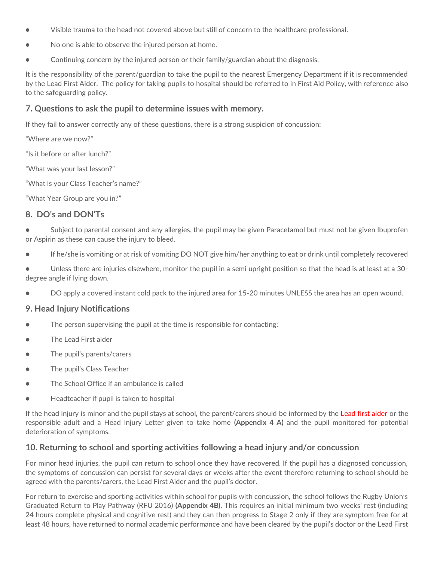- Visible trauma to the head not covered above but still of concern to the healthcare professional.
- No one is able to observe the injured person at home.
- Continuing concern by the injured person or their family/guardian about the diagnosis.

It is the responsibility of the parent/guardian to take the pupil to the nearest Emergency Department if it is recommended by the Lead First Aider. The policy for taking pupils to hospital should be referred to in First Aid Policy, with reference also to the safeguarding policy.

## **7. Questions to ask the pupil to determine issues with memory.**

If they fail to answer correctly any of these questions, there is a strong suspicion of concussion:

"Where are we now?"

"Is it before or after lunch?"

"What was your last lesson?"

"What is your Class Teacher's name?"

"What Year Group are you in?"

## **8. DO's and DON'Ts**

Subject to parental consent and any allergies, the pupil may be given Paracetamol but must not be given Ibuprofen or Aspirin as these can cause the injury to bleed.

● If he/she is vomiting or at risk of vomiting DO NOT give him/her anything to eat or drink until completely recovered

● Unless there are injuries elsewhere, monitor the pupil in a semi upright position so that the head is at least at a 30 degree angle if lying down.

● DO apply a covered instant cold pack to the injured area for 15-20 minutes UNLESS the area has an open wound.

## **9. Head Injury Notifications**

- The person supervising the pupil at the time is responsible for contacting:
- The Lead First aider
- The pupil's parents/carers
- The pupil's Class Teacher
- The School Office if an ambulance is called
- Headteacher if pupil is taken to hospital

If the head injury is minor and the pupil stays at school, the parent/carers should be informed by the Lead first aider or the responsible adult and a Head Injury Letter given to take home **(Appendix 4 A)** and the pupil monitored for potential deterioration of symptoms.

## **10. Returning to school and sporting activities following a head injury and/or concussion**

For minor head injuries, the pupil can return to school once they have recovered. If the pupil has a diagnosed concussion, the symptoms of concussion can persist for several days or weeks after the event therefore returning to school should be agreed with the parents/carers, the Lead First Aider and the pupil's doctor.

For return to exercise and sporting activities within school for pupils with concussion, the school follows the Rugby Union's Graduated Return to Play Pathway (RFU 2016) **(Appendix 4B).** This requires an initial minimum two weeks' rest (including 24 hours complete physical and cognitive rest) and they can then progress to Stage 2 only if they are symptom free for at least 48 hours, have returned to normal academic performance and have been cleared by the pupil's doctor or the Lead First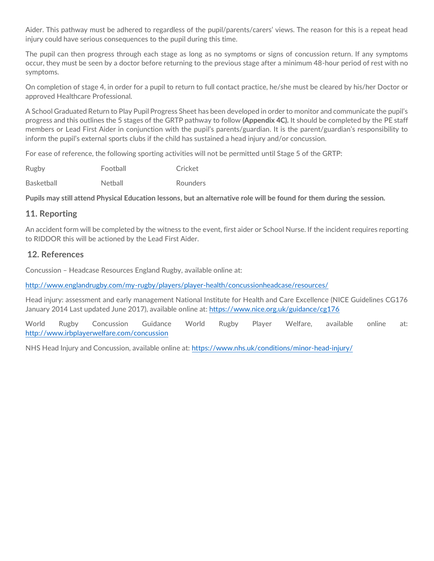Aider. This pathway must be adhered to regardless of the pupil/parents/carers' views. The reason for this is a repeat head injury could have serious consequences to the pupil during this time.

The pupil can then progress through each stage as long as no symptoms or signs of concussion return. If any symptoms occur, they must be seen by a doctor before returning to the previous stage after a minimum 48-hour period of rest with no symptoms.

On completion of stage 4, in order for a pupil to return to full contact practice, he/she must be cleared by his/her Doctor or approved Healthcare Professional.

A School Graduated Return to Play Pupil Progress Sheet has been developed in order to monitor and communicate the pupil's progress and this outlines the 5 stages of the GRTP pathway to follow **(Appendix 4C).** It should be completed by the PE staff members or Lead First Aider in conjunction with the pupil's parents/guardian. It is the parent/guardian's responsibility to inform the pupil's external sports clubs if the child has sustained a head injury and/or concussion.

For ease of reference, the following sporting activities will not be permitted until Stage 5 of the GRTP:

| Rugby             | Football       | Cricket  |
|-------------------|----------------|----------|
| <b>Basketball</b> | <b>Netball</b> | Rounders |

**Pupils may still attend Physical Education lessons, but an alternative role will be found for them during the session.**

### **11. Reporting**

An accident form will be completed by the witness to the event, first aider or School Nurse. If the incident requires reporting to RIDDOR this will be actioned by the Lead First Aider.

#### **12. References**

Concussion – Headcase Resources England Rugby, available online at:

<http://www.englandrugby.com/my-rugby/players/player-health/concussionheadcase/resources/>

Head injury: assessment and early management National Institute for Health and Care Excellence (NICE Guidelines CG176 January 2014 Last updated June 2017), available online at:<https://www.nice.org.uk/guidance/cg176>

World Rugby Concussion Guidance World Rugby Player Welfare, available online at: <http://www.irbplayerwelfare.com/concussion>

NHS Head Injury and Concussion, available online at: <https://www.nhs.uk/conditions/minor-head-injury/>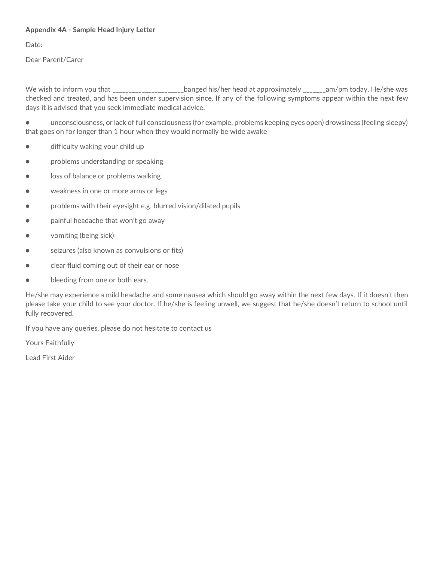#### **Appendix 4A - Sample Head Injury Letter**

Date:

Dear Parent/Carer

We wish to inform you that \_\_\_\_\_\_\_\_\_\_\_\_\_\_\_\_\_\_\_\_\_\_\_banged his/her head at approximately \_\_\_\_\_\_\_am/pm today. He/she was checked and treated, and has been under supervision since. If any of the following symptoms appear within the next few days it is advised that you seek immediate medical advice.

● unconsciousness, or lack of full consciousness (for example, problems keeping eyes open) drowsiness (feeling sleepy) that goes on for longer than 1 hour when they would normally be wide awake

- difficulty waking your child up
- **problems understanding or speaking**
- loss of balance or problems walking
- weakness in one or more arms or legs
- problems with their eyesight e.g. blurred vision/dilated pupils
- painful headache that won't go away
- vomiting (being sick)
- seizures (also known as convulsions or fits)
- clear fluid coming out of their ear or nose
- bleeding from one or both ears.

He/she may experience a mild headache and some nausea which should go away within the next few days. If it doesn't then please take your child to see your doctor. If he/she is feeling unwell, we suggest that he/she doesn't return to school until fully recovered.

If you have any queries, please do not hesitate to contact us

Yours Faithfully

Lead First Aider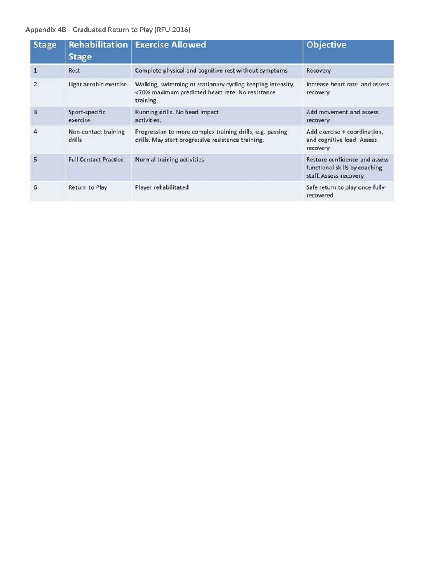## **Appendix 4B - Graduated Return to Play (RFU 2016)**

| <b>Stage</b>   | <b>Rehabilitation</b><br><b>Stage</b> | <b>Exercise Allowed</b>                                                                                                     | <b>Objective</b>                                                                         |
|----------------|---------------------------------------|-----------------------------------------------------------------------------------------------------------------------------|------------------------------------------------------------------------------------------|
|                | Rest                                  | Complete physical and cognitive rest without symptoms                                                                       | Recovery                                                                                 |
| $\overline{2}$ | Light aerobic exercise                | Walking, swimming or stationary cycling keeping intensity,<br><70% maximum predicted heart rate. No resistance<br>training. | Increase heart rate and assess<br>recovery                                               |
| 3              | Sport-specific<br>exercise            | Running drills. No head impact<br>activities.                                                                               | Add movement and assess<br>recovery                                                      |
| Δ              | Non-contact training<br>drills        | Progression to more complex training drills, e.g. passing<br>drills. May start progressive resistance training.             | Add exercise + coordination,<br>and cognitive load. Assess<br>recovery                   |
| 5              | <b>Full Contact Practice</b>          | Normal training activities                                                                                                  | Restore confidence and assess<br>functional skills by coaching<br>staff. Assess recovery |
| 6              | Return to Play                        | Player rehabilitated                                                                                                        | Safe return to play once fully<br>recovered.                                             |